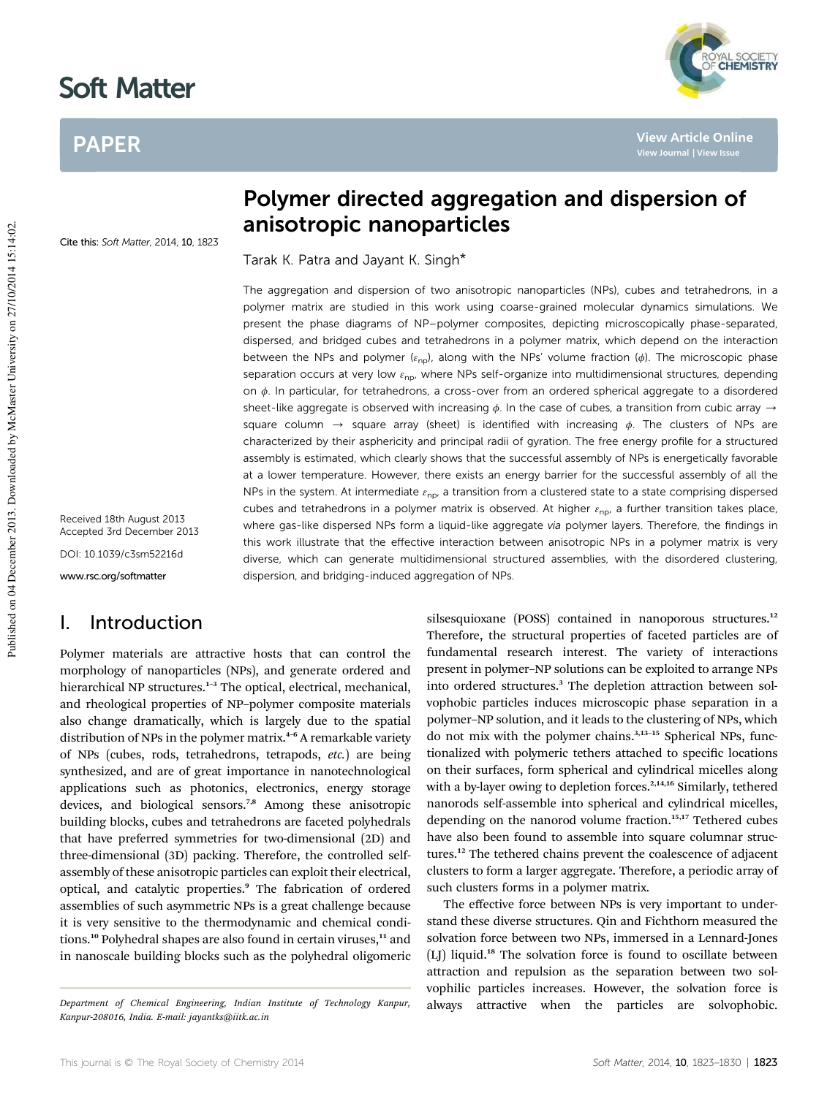# Soft Matter

# PAPER



**View Article Online**

Cite this: Soft Matter, 2014, 10, 1823

Received 18th August 2013 Accepted 3rd December 2013

DOI: 10.1039/c3sm52216d

www.rsc.org/softmatter

# I. Introduction

Polymer materials are attractive hosts that can control the morphology of nanoparticles (NPs), and generate ordered and hierarchical NP structures.<sup>1-3</sup> The optical, electrical, mechanical, and rheological properties of NP–polymer composite materials also change dramatically, which is largely due to the spatial distribution of NPs in the polymer matrix.<sup>4-6</sup> A remarkable variety of NPs (cubes, rods, tetrahedrons, tetrapods, *etc.*) are being synthesized, and are of great importance in nanotechnological applications such as photonics, electronics, energy storage devices, and biological sensors.<sup>7,8</sup> Among these anisotropic building blocks, cubes and tetrahedrons are faceted polyhedrals that have preferred symmetries for two-dimensional (2D) and three-dimensional (3D) packing. Therefore, the controlled selfassembly of these anisotropic particles can exploit their electrical, optical, and catalytic properties.<sup>9</sup> The fabrication of ordered assemblies of such asymmetric NPs is a great challenge because it is very sensitive to the thermodynamic and chemical conditions.<sup>10</sup> Polyhedral shapes are also found in certain viruses,<sup>11</sup> and in nanoscale building blocks such as the polyhedral oligomeric

# Polymer directed aggregation and dispersion of anisotropic nanoparticles

Tarak K. Patra and Jayant K. Singh\*

The aggregation and dispersion of two anisotropic nanoparticles (NPs), cubes and tetrahedrons, in a polymer matrix are studied in this work using coarse-grained molecular dynamics simulations. We present the phase diagrams of NP–polymer composites, depicting microscopically phase-separated, dispersed, and bridged cubes and tetrahedrons in a polymer matrix, which depend on the interaction between the NPs and polymer ( $\varepsilon_{\text{np}}$ ), along with the NPs' volume fraction ( $\phi$ ). The microscopic phase separation occurs at very low  $\varepsilon_{\text{np}}$ , where NPs self-organize into multidimensional structures, depending on  $\phi$ . In particular, for tetrahedrons, a cross-over from an ordered spherical aggregate to a disordered sheet-like aggregate is observed with increasing  $\phi$ . In the case of cubes, a transition from cubic array  $\rightarrow$ square column  $\rightarrow$  square array (sheet) is identified with increasing  $\phi$ . The clusters of NPs are characterized by their asphericity and principal radii of gyration. The free energy profile for a structured assembly is estimated, which clearly shows that the successful assembly of NPs is energetically favorable at a lower temperature. However, there exists an energy barrier for the successful assembly of all the NPs in the system. At intermediate  $\varepsilon_{\rm np}$ , a transition from a clustered state to a state comprising dispersed cubes and tetrahedrons in a polymer matrix is observed. At higher  $\varepsilon_{\rm np}$ , a further transition takes place, where gas-like dispersed NPs form a liquid-like aggregate via polymer layers. Therefore, the findings in this work illustrate that the effective interaction between anisotropic NPs in a polymer matrix is very diverse, which can generate multidimensional structured assemblies, with the disordered clustering, dispersion, and bridging-induced aggregation of NPs.

> silsesquioxane (POSS) contained in nanoporous structures.<sup>12</sup> Therefore, the structural properties of faceted particles are of fundamental research interest. The variety of interactions present in polymer–NP solutions can be exploited to arrange NPs into ordered structures.<sup>3</sup> The depletion attraction between solvophobic particles induces microscopic phase separation in a polymer–NP solution, and it leads to the clustering of NPs, which do not mix with the polymer chains.3,13–<sup>15</sup> Spherical NPs, functionalized with polymeric tethers attached to specific locations on their surfaces, form spherical and cylindrical micelles along with a by-layer owing to depletion forces.<sup>2,14,16</sup> Similarly, tethered nanorods self-assemble into spherical and cylindrical micelles, depending on the nanorod volume fraction.<sup>15,17</sup> Tethered cubes have also been found to assemble into square columnar structures.<sup>12</sup> The tethered chains prevent the coalescence of adjacent clusters to form a larger aggregate. Therefore, a periodic array of such clusters forms in a polymer matrix.

The effective force between NPs is very important to understand these diverse structures. Qin and Fichthorn measured the solvation force between two NPs, immersed in a Lennard-Jones (LJ) liquid.<sup>18</sup> The solvation force is found to oscillate between attraction and repulsion as the separation between two solvophilic particles increases. However, the solvation force is *Department of Chemical Engineering, Indian Institute of Technology Kanpur,* always attractive when the particles are solvophobic.

*Kanpur-208016, India. E-mail: jayantks@iitk.ac.in*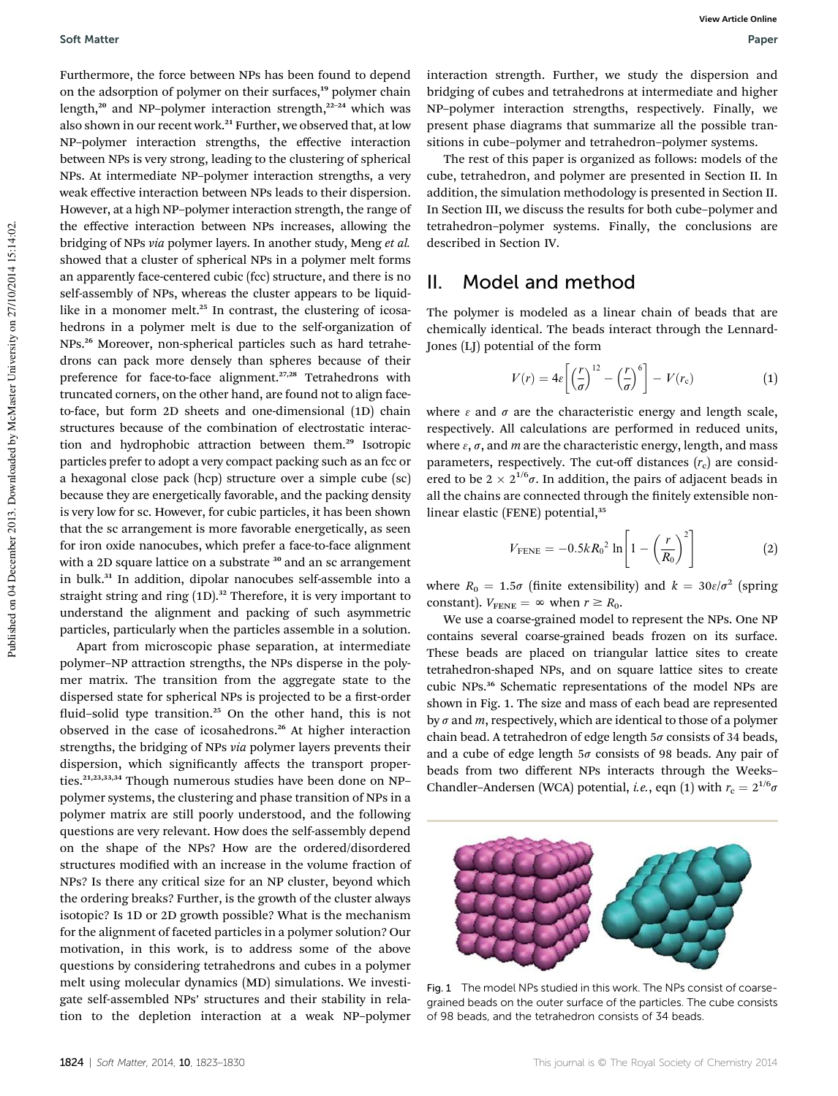Furthermore, the force between NPs has been found to depend on the adsorption of polymer on their surfaces,<sup>19</sup> polymer chain length,<sup>20</sup> and NP-polymer interaction strength,<sup>22-24</sup> which was also shown in our recent work.<sup>21</sup> Further, we observed that, at low NP–polymer interaction strengths, the effective interaction between NPs is very strong, leading to the clustering of spherical NPs. At intermediate NP–polymer interaction strengths, a very weak effective interaction between NPs leads to their dispersion. However, at a high NP–polymer interaction strength, the range of the effective interaction between NPs increases, allowing the bridging of NPs *via* polymer layers. In another study, Meng *et al.* showed that a cluster of spherical NPs in a polymer melt forms an apparently face-centered cubic (fcc) structure, and there is no self-assembly of NPs, whereas the cluster appears to be liquidlike in a monomer melt.<sup>25</sup> In contrast, the clustering of icosahedrons in a polymer melt is due to the self-organization of NPs.<sup>26</sup> Moreover, non-spherical particles such as hard tetrahedrons can pack more densely than spheres because of their preference for face-to-face alignment.<sup>27,28</sup> Tetrahedrons with truncated corners, on the other hand, are found not to align faceto-face, but form 2D sheets and one-dimensional (1D) chain structures because of the combination of electrostatic interaction and hydrophobic attraction between them.<sup>29</sup> Isotropic particles prefer to adopt a very compact packing such as an fcc or a hexagonal close pack (hcp) structure over a simple cube (sc) because they are energetically favorable, and the packing density is very low for sc. However, for cubic particles, it has been shown that the sc arrangement is more favorable energetically, as seen for iron oxide nanocubes, which prefer a face-to-face alignment with a 2D square lattice on a substrate <sup>30</sup> and an sc arrangement in bulk.<sup>31</sup> In addition, dipolar nanocubes self-assemble into a straight string and ring (1D).<sup>32</sup> Therefore, it is very important to understand the alignment and packing of such asymmetric particles, particularly when the particles assemble in a solution.

Apart from microscopic phase separation, at intermediate polymer–NP attraction strengths, the NPs disperse in the polymer matrix. The transition from the aggregate state to the dispersed state for spherical NPs is projected to be a first-order fluid-solid type transition.<sup>25</sup> On the other hand, this is not observed in the case of icosahedrons.<sup>26</sup> At higher interaction strengths, the bridging of NPs *via* polymer layers prevents their dispersion, which significantly affects the transport properties.<sup>21,23,33,34</sup> Though numerous studies have been done on NPpolymer systems, the clustering and phase transition of NPs in a polymer matrix are still poorly understood, and the following questions are very relevant. How does the self-assembly depend on the shape of the NPs? How are the ordered/disordered structures modified with an increase in the volume fraction of NPs? Is there any critical size for an NP cluster, beyond which the ordering breaks? Further, is the growth of the cluster always isotopic? Is 1D or 2D growth possible? What is the mechanism for the alignment of faceted particles in a polymer solution? Our motivation, in this work, is to address some of the above questions by considering tetrahedrons and cubes in a polymer melt using molecular dynamics (MD) simulations. We investigate self-assembled NPs' structures and their stability in relation to the depletion interaction at a weak NP–polymer interaction strength. Further, we study the dispersion and bridging of cubes and tetrahedrons at intermediate and higher NP–polymer interaction strengths, respectively. Finally, we present phase diagrams that summarize all the possible transitions in cube–polymer and tetrahedron–polymer systems.

The rest of this paper is organized as follows: models of the cube, tetrahedron, and polymer are presented in Section II. In addition, the simulation methodology is presented in Section II. In Section III, we discuss the results for both cube–polymer and tetrahedron–polymer systems. Finally, the conclusions are described in Section IV.

### II. Model and method

The polymer is modeled as a linear chain of beads that are chemically identical. The beads interact through the Lennard-Jones (LJ) potential of the form

$$
V(r) = 4\varepsilon \left[ \left( \frac{r}{\sigma} \right)^{12} - \left( \frac{r}{\sigma} \right)^6 \right] - V(r_c) \tag{1}
$$

where  $\epsilon$  and  $\sigma$  are the characteristic energy and length scale, respectively. All calculations are performed in reduced units, where  $\varepsilon$ ,  $\sigma$ , and *m* are the characteristic energy, length, and mass parameters, respectively. The cut-off distances ( $r_c$ ) are considered to be  $2 \times 2^{1/6}\sigma$ . In addition, the pairs of adjacent beads in all the chains are connected through the finitely extensible nonlinear elastic (FENE) potential,<sup>35</sup>

$$
V_{\text{FENE}} = -0.5kR_0^2 \ln \left[ 1 - \left(\frac{r}{R_0}\right)^2 \right]
$$
 (2)

where  $R_0 = 1.5\sigma$  (finite extensibility) and  $k = 30\varepsilon/\sigma^2$  (spring constant).  $V_{\text{FENE}} = \infty$  when  $r \ge R_0$ .

We use a coarse-grained model to represent the NPs. One NP contains several coarse-grained beads frozen on its surface. These beads are placed on triangular lattice sites to create tetrahedron-shaped NPs, and on square lattice sites to create cubic NPs.<sup>36</sup> Schematic representations of the model NPs are shown in Fig. 1. The size and mass of each bead are represented by  $\sigma$  and  $m$ , respectively, which are identical to those of a polymer chain bead. A tetrahedron of edge length  $5\sigma$  consists of 34 beads, and a cube of edge length  $5\sigma$  consists of 98 beads. Any pair of beads from two different NPs interacts through the Weeks– Chandler–Andersen (WCA) potential, *i.e.*, eqn (1) with  $r_c = 2^{1/6} \sigma$ 



Fig. 1 The model NPs studied in this work. The NPs consist of coarsegrained beads on the outer surface of the particles. The cube consists of 98 beads, and the tetrahedron consists of 34 beads.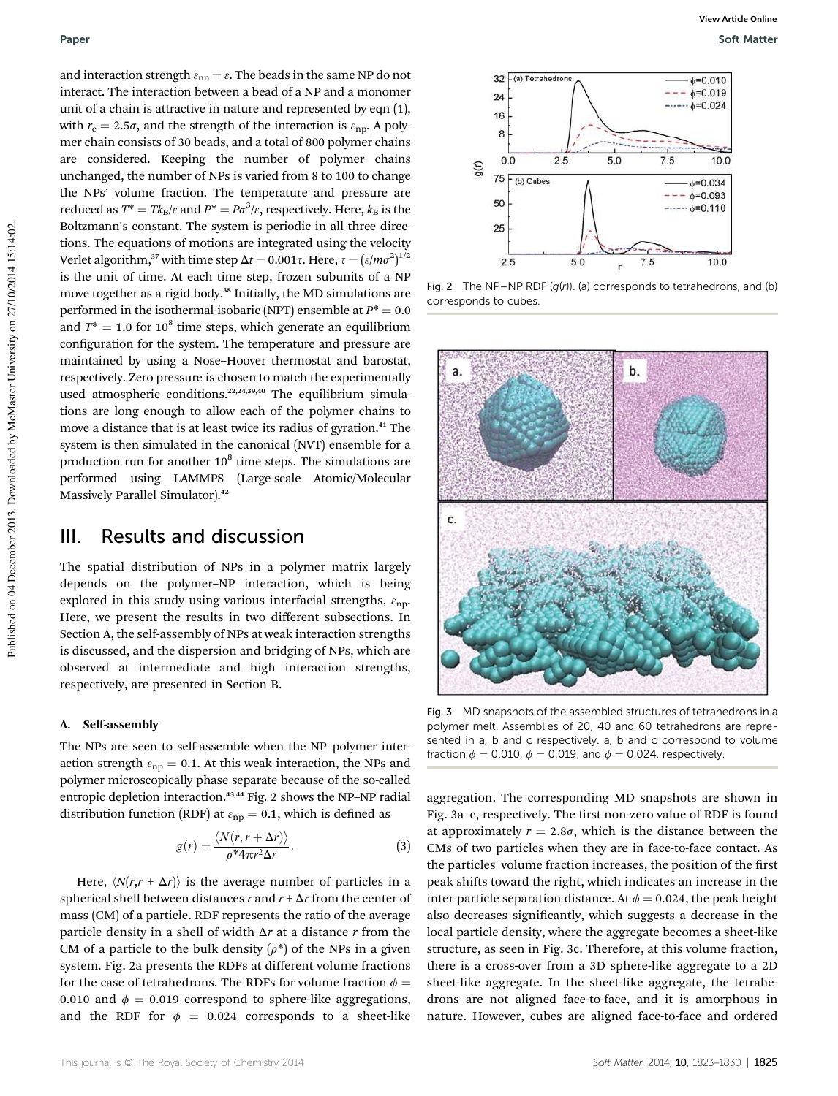and interaction strength  $\varepsilon_{nn} = \varepsilon$ . The beads in the same NP do not interact. The interaction between a bead of a NP and a monomer unit of a chain is attractive in nature and represented by eqn (1), with  $r_c = 2.5\sigma$ , and the strength of the interaction is  $\varepsilon_{\rm np}$ . A polymer chain consists of 30 beads, and a total of 800 polymer chains are considered. Keeping the number of polymer chains unchanged, the number of NPs is varied from 8 to 100 to change the NPs' volume fraction. The temperature and pressure are reduced as  $T^* = T k_B / \varepsilon$  and  $P^* = P \sigma^3 / \varepsilon$ , respectively. Here,  $k_B$  is the Boltzmann's constant. The system is periodic in all three directions. The equations of motions are integrated using the velocity Verlet algorithm, $^{37}$  with time step  $\Delta t = 0.001\tau.$  Here,  $\tau = (\varepsilon/m\sigma^2)^{1/2}$ is the unit of time. At each time step, frozen subunits of a NP move together as a rigid body.<sup>38</sup> Initially, the MD simulations are performed in the isothermal-isobaric (NPT) ensemble at  $P^* = 0.0$ and  $T^* = 1.0$  for  $10^8$  time steps, which generate an equilibrium configuration for the system. The temperature and pressure are maintained by using a Nose–Hoover thermostat and barostat, respectively. Zero pressure is chosen to match the experimentally used atmospheric conditions.<sup>22,24,39,40</sup> The equilibrium simulations are long enough to allow each of the polymer chains to move a distance that is at least twice its radius of gyration.<sup>41</sup> The system is then simulated in the canonical (NVT) ensemble for a production run for another  $10^8$  time steps. The simulations are performed using LAMMPS (Large-scale Atomic/Molecular Massively Parallel Simulator).<sup>42</sup>

### III. Results and discussion

The spatial distribution of NPs in a polymer matrix largely depends on the polymer–NP interaction, which is being explored in this study using various interfacial strengths,  $\varepsilon_{\text{np}}$ . Here, we present the results in two different subsections. In Section A, the self-assembly of NPs at weak interaction strengths is discussed, and the dispersion and bridging of NPs, which are observed at intermediate and high interaction strengths, respectively, are presented in Section B.

### A. Self-assembly

The NPs are seen to self-assemble when the NP–polymer interaction strength  $\varepsilon_{np} = 0.1$ . At this weak interaction, the NPs and polymer microscopically phase separate because of the so-called entropic depletion interaction.<sup>43,44</sup> Fig. 2 shows the NP-NP radial distribution function (RDF) at  $\varepsilon_{\rm np} = 0.1$ , which is defined as

$$
g(r) = \frac{\langle N(r, r + \Delta r) \rangle}{\rho^* 4\pi r^2 \Delta r}.
$$
 (3)

Here,  $\langle N(r, r + \Delta r) \rangle$  is the average number of particles in a spherical shell between distances  $r$  and  $r + \Delta r$  from the center of mass (CM) of a particle. RDF represents the ratio of the average particle density in a shell of width  $\Delta r$  at a distance  $r$  from the CM of a particle to the bulk density  $(\rho^*)$  of the NPs in a given system. Fig. 2a presents the RDFs at different volume fractions for the case of tetrahedrons. The RDFs for volume fraction  $\phi =$ 0.010 and  $\phi = 0.019$  correspond to sphere-like aggregations, and the RDF for  $\phi = 0.024$  corresponds to a sheet-like



Fig. 2 The NP–NP RDF  $(g(r))$ . (a) corresponds to tetrahedrons, and (b) corresponds to cubes.



Fig. 3 MD snapshots of the assembled structures of tetrahedrons in a polymer melt. Assemblies of 20, 40 and 60 tetrahedrons are represented in a, b and c respectively. a, b and c correspond to volume fraction  $\phi = 0.010$ ,  $\phi = 0.019$ , and  $\phi = 0.024$ , respectively.

aggregation. The corresponding MD snapshots are shown in Fig. 3a-c, respectively. The first non-zero value of RDF is found at approximately  $r = 2.8\sigma$ , which is the distance between the CMs of two particles when they are in face-to-face contact. As the particles' volume fraction increases, the position of the first peak shifts toward the right, which indicates an increase in the inter-particle separation distance. At  $\phi = 0.024$ , the peak height also decreases significantly, which suggests a decrease in the local particle density, where the aggregate becomes a sheet-like structure, as seen in Fig. 3c. Therefore, at this volume fraction, there is a cross-over from a 3D sphere-like aggregate to a 2D sheet-like aggregate. In the sheet-like aggregate, the tetrahedrons are not aligned face-to-face, and it is amorphous in nature. However, cubes are aligned face-to-face and ordered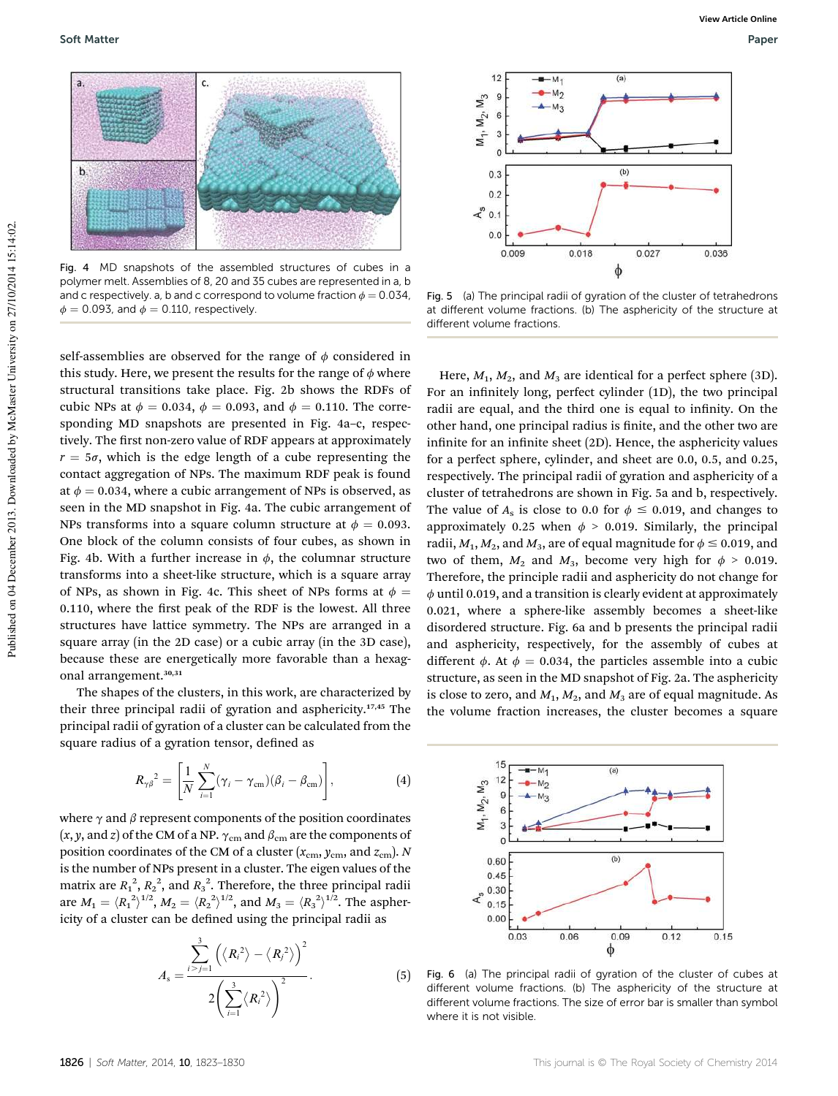

Fig. 4 MD snapshots of the assembled structures of cubes in a polymer melt. Assemblies of 8, 20 and 35 cubes are represented in a, b and c respectively. a, b and c correspond to volume fraction  $\phi = 0.034$ ,  $\phi = 0.093$ , and  $\phi = 0.110$ , respectively.

self-assemblies are observed for the range of  $\phi$  considered in this study. Here, we present the results for the range of  $\phi$  where structural transitions take place. Fig. 2b shows the RDFs of cubic NPs at  $\phi = 0.034$ ,  $\phi = 0.093$ , and  $\phi = 0.110$ . The corresponding MD snapshots are presented in Fig. 4a–c, respectively. The first non-zero value of RDF appears at approximately  $r = 5\sigma$ , which is the edge length of a cube representing the contact aggregation of NPs. The maximum RDF peak is found at  $\phi = 0.034$ , where a cubic arrangement of NPs is observed, as seen in the MD snapshot in Fig. 4a. The cubic arrangement of NPs transforms into a square column structure at  $\phi = 0.093$ . One block of the column consists of four cubes, as shown in Fig. 4b. With a further increase in  $\phi$ , the columnar structure transforms into a sheet-like structure, which is a square array of NPs, as shown in Fig. 4c. This sheet of NPs forms at  $\phi =$  $0.110$ , where the first peak of the RDF is the lowest. All three structures have lattice symmetry. The NPs are arranged in a square array (in the 2D case) or a cubic array (in the 3D case), because these are energetically more favorable than a hexagonal arrangement.<sup>30,31</sup>

The shapes of the clusters, in this work, are characterized by their three principal radii of gyration and asphericity.17,45 The principal radii of gyration of a cluster can be calculated from the square radius of a gyration tensor, defined as

$$
R_{\gamma\beta}^{2} = \left[\frac{1}{N}\sum_{i=1}^{N}(\gamma_{i}-\gamma_{\text{cm}})(\beta_{i}-\beta_{\text{cm}})\right],
$$
\n(4)

where  $\gamma$  and  $\beta$  represent components of the position coordinates  $(x, y, \text{ and } z)$  of the CM of a NP.  $\gamma_{cm}$  and  $\beta_{cm}$  are the components of position coordinates of the CM of a cluster  $(x_{cm}, y_{cm},$  and  $z_{cm}$ ). *N* is the number of NPs present in a cluster. The eigen values of the matrix are  $R_1^2$ ,  $R_2^2$ , and  $R_3^2$ . Therefore, the three principal radii are  $M_1 = \langle R_1^2 \rangle^{1/2}$ ,  $M_2 = \langle R_2^2 \rangle^{1/2}$ , and  $M_3 = \langle R_3^2 \rangle^{1/2}$ . The asphericity of a cluster can be defined using the principal radii as

$$
A_{\rm s} = \frac{\sum_{i>j=1}^{3} (\langle R_i^2 \rangle - \langle R_j^2 \rangle)^2}{2(\sum_{i=1}^{3} \langle R_i^2 \rangle)^2}.
$$
 (5)



Fig. 5 (a) The principal radii of gyration of the cluster of tetrahedrons at different volume fractions. (b) The asphericity of the structure at different volume fractions.

Here,  $M_1$ ,  $M_2$ , and  $M_3$  are identical for a perfect sphere (3D). For an infinitely long, perfect cylinder (1D), the two principal radii are equal, and the third one is equal to infinity. On the other hand, one principal radius is finite, and the other two are infinite for an infinite sheet (2D). Hence, the asphericity values for a perfect sphere, cylinder, and sheet are 0.0, 0.5, and 0.25, respectively. The principal radii of gyration and asphericity of a cluster of tetrahedrons are shown in Fig. 5a and b, respectively. The value of  $A_s$  is close to 0.0 for  $\phi \le 0.019$ , and changes to approximately 0.25 when  $\phi$  > 0.019. Similarly, the principal radii,  $M_1, M_2$ , and  $M_3$ , are of equal magnitude for  $\phi \le 0.019$ , and two of them,  $M_2$  and  $M_3$ , become very high for  $\phi > 0.019$ . Therefore, the principle radii and asphericity do not change for  $\phi$  until 0.019, and a transition is clearly evident at approximately 0.021, where a sphere-like assembly becomes a sheet-like disordered structure. Fig. 6a and b presents the principal radii and asphericity, respectively, for the assembly of cubes at different  $\phi$ . At  $\phi = 0.034$ , the particles assemble into a cubic structure, as seen in the MD snapshot of Fig. 2a. The asphericity is close to zero, and  $M_1$ ,  $M_2$ , and  $M_3$  are of equal magnitude. As the volume fraction increases, the cluster becomes a square



Fig. 6 (a) The principal radii of gyration of the cluster of cubes at different volume fractions. (b) The asphericity of the structure at different volume fractions. The size of error bar is smaller than symbol where it is not visible.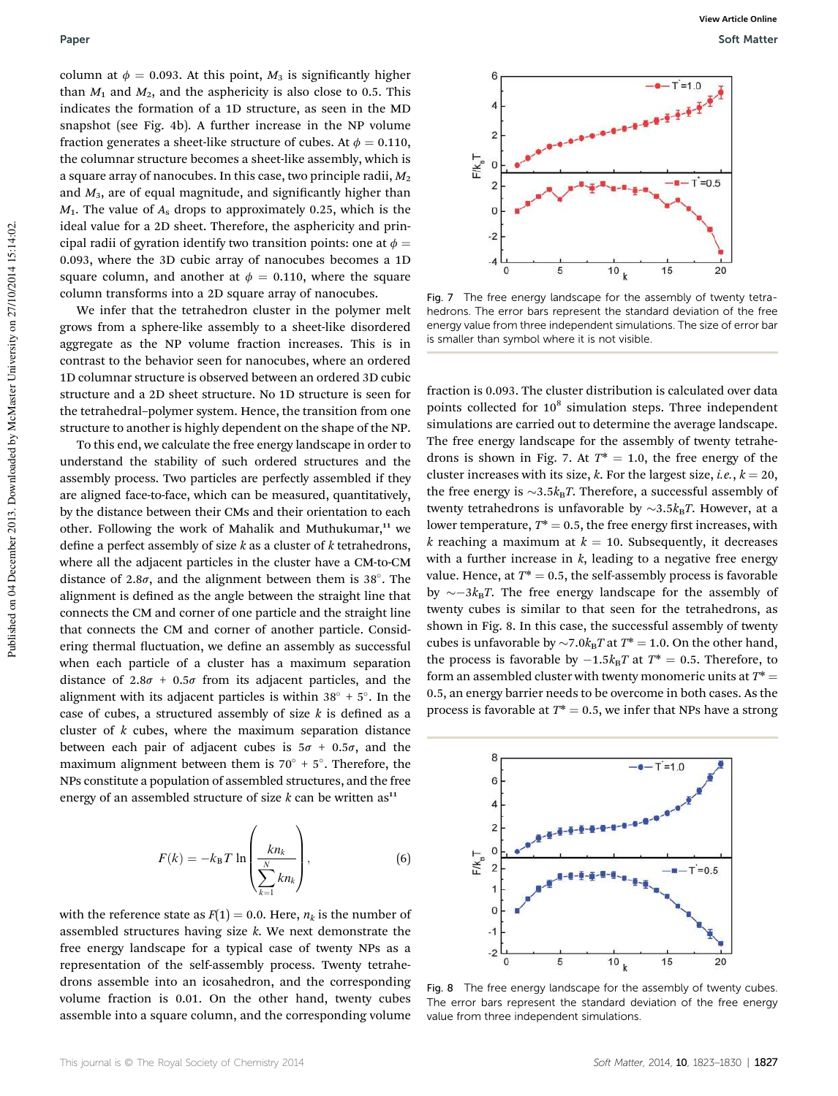column at  $\phi = 0.093$ . At this point, *M*<sub>3</sub> is significantly higher than  $M_1$  and  $M_2$ , and the asphericity is also close to 0.5. This indicates the formation of a 1D structure, as seen in the MD snapshot (see Fig. 4b). A further increase in the NP volume fraction generates a sheet-like structure of cubes. At  $\phi = 0.110$ , the columnar structure becomes a sheet-like assembly, which is a square array of nanocubes. In this case, two principle radii, *M*<sup>2</sup> and  $M<sub>3</sub>$ , are of equal magnitude, and significantly higher than *M*1. The value of *A*<sup>s</sup> drops to approximately 0.25, which is the ideal value for a 2D sheet. Therefore, the asphericity and principal radii of gyration identify two transition points: one at  $\phi =$ 0.093, where the 3D cubic array of nanocubes becomes a 1D square column, and another at  $\phi = 0.110$ , where the square column transforms into a 2D square array of nanocubes.

We infer that the tetrahedron cluster in the polymer melt grows from a sphere-like assembly to a sheet-like disordered aggregate as the NP volume fraction increases. This is in contrast to the behavior seen for nanocubes, where an ordered 1D columnar structure is observed between an ordered 3D cubic structure and a 2D sheet structure. No 1D structure is seen for the tetrahedral–polymer system. Hence, the transition from one structure to another is highly dependent on the shape of the NP.

To this end, we calculate the free energy landscape in order to understand the stability of such ordered structures and the assembly process. Two particles are perfectly assembled if they are aligned face-to-face, which can be measured, quantitatively, by the distance between their CMs and their orientation to each other. Following the work of Mahalik and Muthukumar,<sup>11</sup> we define a perfect assembly of size  $k$  as a cluster of  $k$  tetrahedrons, where all the adjacent particles in the cluster have a CM-to-CM distance of 2.8 $\sigma$ , and the alignment between them is 38°. The alignment is defined as the angle between the straight line that connects the CM and corner of one particle and the straight line that connects the CM and corner of another particle. Considering thermal fluctuation, we define an assembly as successful when each particle of a cluster has a maximum separation distance of  $2.8\sigma + 0.5\sigma$  from its adjacent particles, and the alignment with its adjacent particles is within  $38^{\circ} + 5^{\circ}$ . In the case of cubes, a structured assembly of size  $k$  is defined as a cluster of *k* cubes, where the maximum separation distance between each pair of adjacent cubes is  $5\sigma + 0.5\sigma$ , and the maximum alignment between them is  $70^{\circ}$  +  $5^{\circ}$ . Therefore, the NPs constitute a population of assembled structures, and the free energy of an assembled structure of size  $k$  can be written as<sup>11</sup>

$$
F(k) = -k_{\rm B}T \ln \left( \frac{k n_k}{\sum_{k=1}^{N} k n_k} \right),\tag{6}
$$

with the reference state as  $F(1) = 0.0$ . Here,  $n_k$  is the number of assembled structures having size *k*. We next demonstrate the free energy landscape for a typical case of twenty NPs as a representation of the self-assembly process. Twenty tetrahedrons assemble into an icosahedron, and the corresponding volume fraction is 0.01. On the other hand, twenty cubes assemble into a square column, and the corresponding volume



Fig. 7 The free energy landscape for the assembly of twenty tetrahedrons. The error bars represent the standard deviation of the free energy value from three independent simulations. The size of error bar is smaller than symbol where it is not visible.

fraction is 0.093. The cluster distribution is calculated over data points collected for 10<sup>8</sup> simulation steps. Three independent simulations are carried out to determine the average landscape. The free energy landscape for the assembly of twenty tetrahedrons is shown in Fig. 7. At  $T^* = 1.0$ , the free energy of the cluster increases with its size, *k*. For the largest size, *i.e.*,  $k = 20$ , the free energy is  $\sim$ 3.5 $k_B T$ . Therefore, a successful assembly of twenty tetrahedrons is unfavorable by  $\sim 3.5 k_B T$ . However, at a lower temperature,  $T^* = 0.5$ , the free energy first increases, with *k* reaching a maximum at  $k = 10$ . Subsequently, it decreases with a further increase in  $k$ , leading to a negative free energy value. Hence, at  $T^* = 0.5$ , the self-assembly process is favorable by  $\sim -3k_BT$ . The free energy landscape for the assembly of twenty cubes is similar to that seen for the tetrahedrons, as shown in Fig. 8. In this case, the successful assembly of twenty cubes is unfavorable by  $\sim$ 7.0 $k_B T$  at  $T^* = 1.0$ . On the other hand, the process is favorable by  $-1.5k_BT$  at  $T^* = 0.5$ . Therefore, to form an assembled cluster with twenty monomeric units at  $T^*$  = 0.5, an energy barrier needs to be overcome in both cases. As the process is favorable at  $T^* = 0.5$ , we infer that NPs have a strong



Fig. 8 The free energy landscape for the assembly of twenty cubes. The error bars represent the standard deviation of the free energy value from three independent simulations.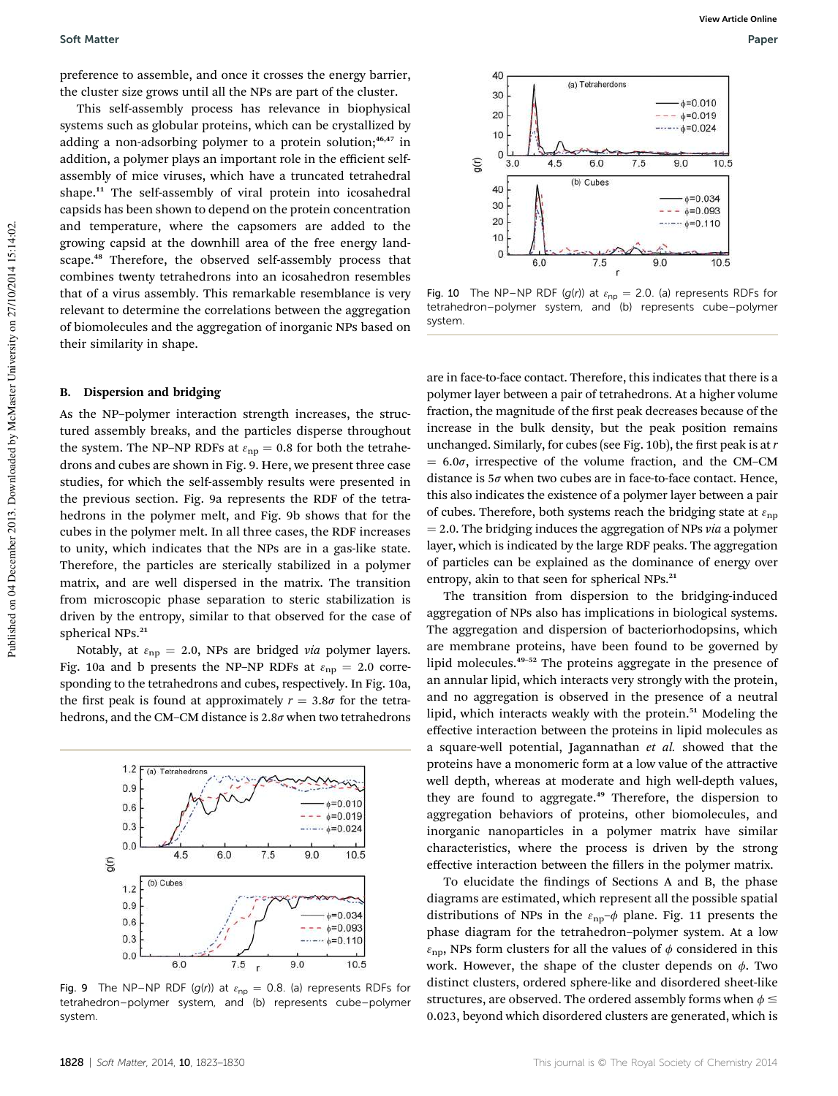preference to assemble, and once it crosses the energy barrier, the cluster size grows until all the NPs are part of the cluster.

This self-assembly process has relevance in biophysical systems such as globular proteins, which can be crystallized by adding a non-adsorbing polymer to a protein solution;<sup>46,47</sup> in addition, a polymer plays an important role in the efficient selfassembly of mice viruses, which have a truncated tetrahedral shape.<sup>11</sup> The self-assembly of viral protein into icosahedral capsids has been shown to depend on the protein concentration and temperature, where the capsomers are added to the growing capsid at the downhill area of the free energy landscape.<sup>48</sup> Therefore, the observed self-assembly process that combines twenty tetrahedrons into an icosahedron resembles that of a virus assembly. This remarkable resemblance is very relevant to determine the correlations between the aggregation of biomolecules and the aggregation of inorganic NPs based on their similarity in shape.

#### B. Dispersion and bridging

As the NP–polymer interaction strength increases, the structured assembly breaks, and the particles disperse throughout the system. The NP–NP RDFs at  $\varepsilon_{np} = 0.8$  for both the tetrahedrons and cubes are shown in Fig. 9. Here, we present three case studies, for which the self-assembly results were presented in the previous section. Fig. 9a represents the RDF of the tetrahedrons in the polymer melt, and Fig. 9b shows that for the cubes in the polymer melt. In all three cases, the RDF increases to unity, which indicates that the NPs are in a gas-like state. Therefore, the particles are sterically stabilized in a polymer matrix, and are well dispersed in the matrix. The transition from microscopic phase separation to steric stabilization is driven by the entropy, similar to that observed for the case of spherical NPs.<sup>21</sup>

Notably, at  $\varepsilon_{\rm np} = 2.0$ , NPs are bridged *via* polymer layers. Fig. 10a and b presents the NP-NP RDFs at  $\varepsilon_{np} = 2.0$  corresponding to the tetrahedrons and cubes, respectively. In Fig. 10a, the first peak is found at approximately  $r = 3.8\sigma$  for the tetrahedrons, and the CM–CM distance is  $2.8\sigma$  when two tetrahedrons



Fig. 9 The NP–NP RDF (g(r)) at  $\varepsilon_{np} = 0.8$ . (a) represents RDFs for tetrahedron–polymer system, and (b) represents cube–polymer system.



Fig. 10 The NP–NP RDF (g(r)) at  $\varepsilon_{np} = 2.0$ . (a) represents RDFs for tetrahedron–polymer system, and (b) represents cube–polymer system.

are in face-to-face contact. Therefore, this indicates that there is a polymer layer between a pair of tetrahedrons. At a higher volume fraction, the magnitude of the first peak decreases because of the increase in the bulk density, but the peak position remains unchanged. Similarly, for cubes (see Fig. 10b), the first peak is at *r*  $= 6.0\sigma$ , irrespective of the volume fraction, and the CM–CM distance is  $5\sigma$  when two cubes are in face-to-face contact. Hence, this also indicates the existence of a polymer layer between a pair of cubes. Therefore, both systems reach the bridging state at  $\varepsilon_{\text{np}}$  $= 2.0$ . The bridging induces the aggregation of NPs  $via$  a polymer layer, which is indicated by the large RDF peaks. The aggregation of particles can be explained as the dominance of energy over entropy, akin to that seen for spherical NPs.<sup>21</sup>

The transition from dispersion to the bridging-induced aggregation of NPs also has implications in biological systems. The aggregation and dispersion of bacteriorhodopsins, which are membrane proteins, have been found to be governed by lipid molecules.<sup>49</sup>–<sup>52</sup> The proteins aggregate in the presence of an annular lipid, which interacts very strongly with the protein, and no aggregation is observed in the presence of a neutral lipid, which interacts weakly with the protein.<sup>51</sup> Modeling the effective interaction between the proteins in lipid molecules as a square-well potential, Jagannathan *et al.* showed that the proteins have a monomeric form at a low value of the attractive well depth, whereas at moderate and high well-depth values, they are found to aggregate.<sup>49</sup> Therefore, the dispersion to aggregation behaviors of proteins, other biomolecules, and inorganic nanoparticles in a polymer matrix have similar characteristics, where the process is driven by the strong effective interaction between the fillers in the polymer matrix.

To elucidate the findings of Sections A and B, the phase diagrams are estimated, which represent all the possible spatial distributions of NPs in the  $\varepsilon_{np}$ - $\phi$  plane. Fig. 11 presents the phase diagram for the tetrahedron–polymer system. At a low  $\varepsilon_{\rm np}$ , NPs form clusters for all the values of  $\phi$  considered in this work. However, the shape of the cluster depends on  $\phi$ . Two distinct clusters, ordered sphere-like and disordered sheet-like structures, are observed. The ordered assembly forms when  $\phi \le$ 0.023, beyond which disordered clusters are generated, which is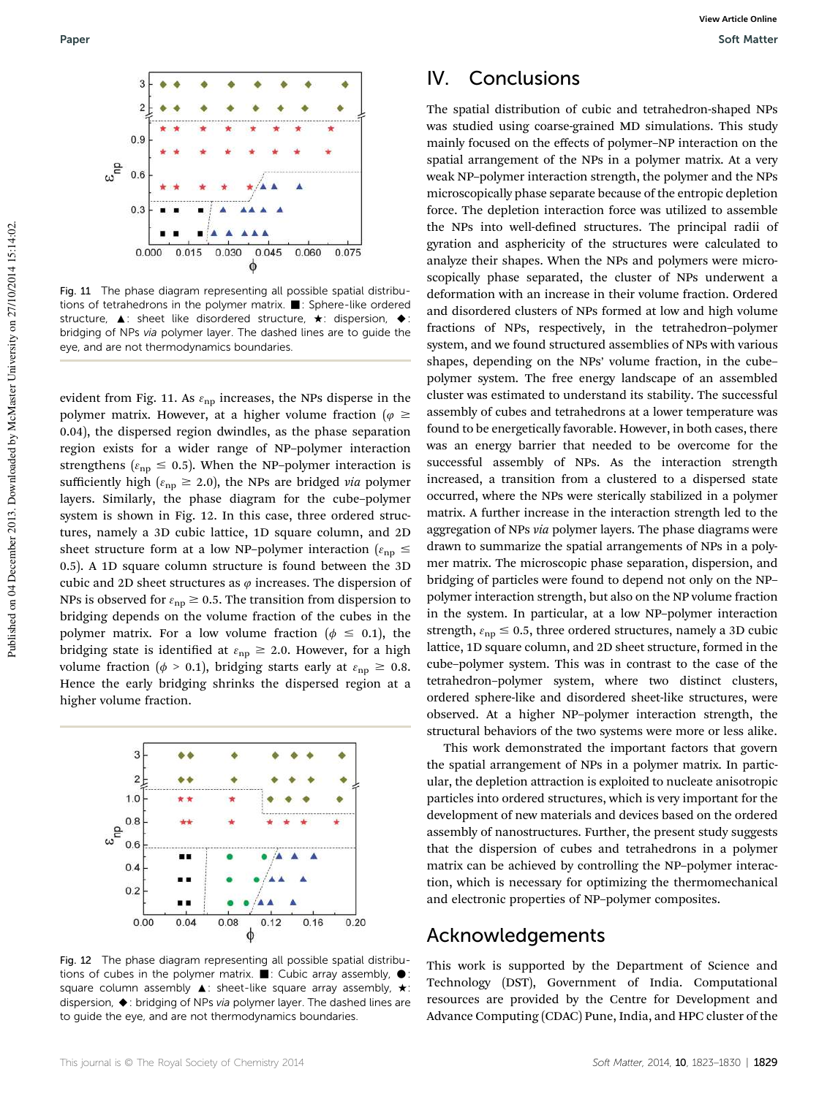

Fig. 11 The phase diagram representing all possible spatial distributions of tetrahedrons in the polymer matrix.  $\blacksquare$ : Sphere-like ordered structure,  $\blacktriangle$ : sheet like disordered structure,  $\star$ : dispersion,  $\blacklozenge$ : bridging of NPs via polymer layer. The dashed lines are to guide the eye, and are not thermodynamics boundaries.

evident from Fig. 11. As  $\varepsilon_{\rm np}$  increases, the NPs disperse in the polymer matrix. However, at a higher volume fraction ( $\varphi \geq$ 0.04), the dispersed region dwindles, as the phase separation region exists for a wider range of NP–polymer interaction strengthens ( $\varepsilon_{\rm np} \leq 0.5$ ). When the NP-polymer interaction is sufficiently high ( $\varepsilon_{\rm np} \ge 2.0$ ), the NPs are bridged *via* polymer layers. Similarly, the phase diagram for the cube–polymer system is shown in Fig. 12. In this case, three ordered structures, namely a 3D cubic lattice, 1D square column, and 2D sheet structure form at a low NP-polymer interaction ( $\varepsilon_{np} \leq$ 0.5). A 1D square column structure is found between the 3D cubic and 2D sheet structures as  $\varphi$  increases. The dispersion of NPs is observed for  $\varepsilon_{np} \geq 0.5$ . The transition from dispersion to bridging depends on the volume fraction of the cubes in the polymer matrix. For a low volume fraction ( $\phi \leq 0.1$ ), the bridging state is identified at  $\varepsilon_{np} \ge 2.0$ . However, for a high volume fraction ( $\phi > 0.1$ ), bridging starts early at  $\varepsilon_{np} \geq 0.8$ . Hence the early bridging shrinks the dispersed region at a higher volume fraction.



Fig. 12 The phase diagram representing all possible spatial distributions of cubes in the polymer matrix.  $\blacksquare$ : Cubic array assembly,  $\bullet$ : square column assembly  $\blacktriangle$ : sheet-like square array assembly,  $\star$ : dispersion, ◆: bridging of NPs via polymer layer. The dashed lines are to guide the eye, and are not thermodynamics boundaries.

## IV. Conclusions

The spatial distribution of cubic and tetrahedron-shaped NPs was studied using coarse-grained MD simulations. This study mainly focused on the effects of polymer–NP interaction on the spatial arrangement of the NPs in a polymer matrix. At a very weak NP–polymer interaction strength, the polymer and the NPs microscopically phase separate because of the entropic depletion force. The depletion interaction force was utilized to assemble the NPs into well-defined structures. The principal radii of gyration and asphericity of the structures were calculated to analyze their shapes. When the NPs and polymers were microscopically phase separated, the cluster of NPs underwent a deformation with an increase in their volume fraction. Ordered and disordered clusters of NPs formed at low and high volume fractions of NPs, respectively, in the tetrahedron–polymer system, and we found structured assemblies of NPs with various shapes, depending on the NPs' volume fraction, in the cube– polymer system. The free energy landscape of an assembled cluster was estimated to understand its stability. The successful assembly of cubes and tetrahedrons at a lower temperature was found to be energetically favorable. However, in both cases, there was an energy barrier that needed to be overcome for the successful assembly of NPs. As the interaction strength increased, a transition from a clustered to a dispersed state occurred, where the NPs were sterically stabilized in a polymer matrix. A further increase in the interaction strength led to the aggregation of NPs *via* polymer layers. The phase diagrams were drawn to summarize the spatial arrangements of NPs in a polymer matrix. The microscopic phase separation, dispersion, and bridging of particles were found to depend not only on the NP– polymer interaction strength, but also on the NP volume fraction in the system. In particular, at a low NP–polymer interaction strength,  $\varepsilon_{\text{np}} \leq 0.5$ , three ordered structures, namely a 3D cubic lattice, 1D square column, and 2D sheet structure, formed in the cube–polymer system. This was in contrast to the case of the tetrahedron–polymer system, where two distinct clusters, ordered sphere-like and disordered sheet-like structures, were observed. At a higher NP–polymer interaction strength, the structural behaviors of the two systems were more or less alike.

This work demonstrated the important factors that govern the spatial arrangement of NPs in a polymer matrix. In particular, the depletion attraction is exploited to nucleate anisotropic particles into ordered structures, which is very important for the development of new materials and devices based on the ordered assembly of nanostructures. Further, the present study suggests that the dispersion of cubes and tetrahedrons in a polymer matrix can be achieved by controlling the NP–polymer interaction, which is necessary for optimizing the thermomechanical and electronic properties of NP–polymer composites.

### Acknowledgements

This work is supported by the Department of Science and Technology (DST), Government of India. Computational resources are provided by the Centre for Development and Advance Computing (CDAC) Pune, India, and HPC cluster of the